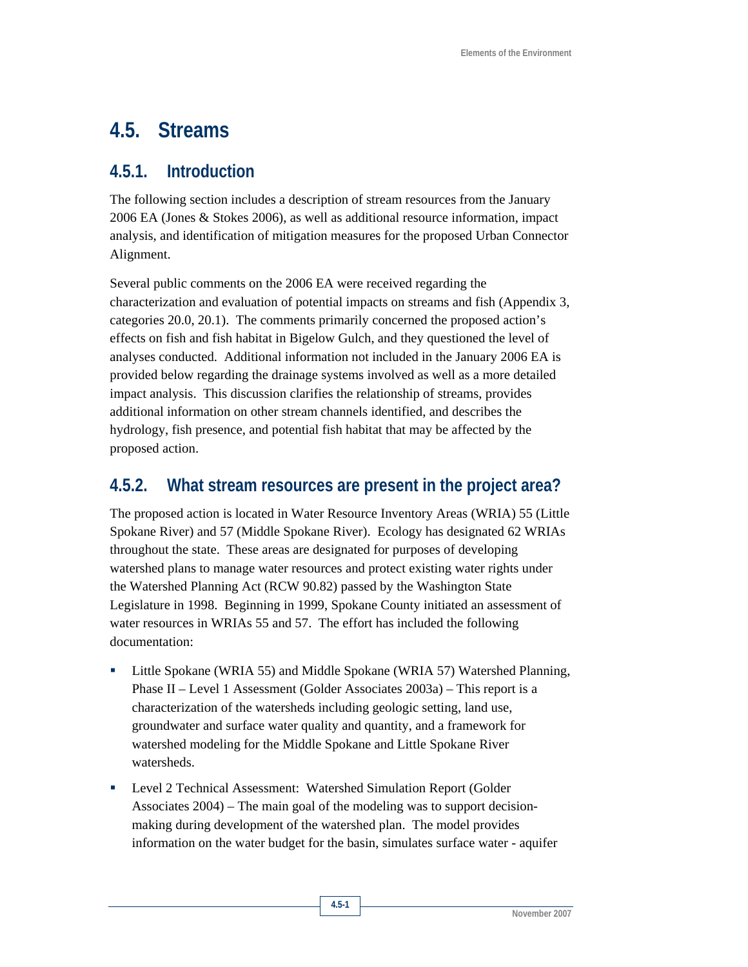# **4.5. Streams**

## **4.5.1. Introduction**

The following section includes a description of stream resources from the January 2006 EA (Jones & Stokes 2006), as well as additional resource information, impact analysis, and identification of mitigation measures for the proposed Urban Connector Alignment.

Several public comments on the 2006 EA were received regarding the characterization and evaluation of potential impacts on streams and fish (Appendix 3, categories 20.0, 20.1). The comments primarily concerned the proposed action's effects on fish and fish habitat in Bigelow Gulch, and they questioned the level of analyses conducted. Additional information not included in the January 2006 EA is provided below regarding the drainage systems involved as well as a more detailed impact analysis. This discussion clarifies the relationship of streams, provides additional information on other stream channels identified, and describes the hydrology, fish presence, and potential fish habitat that may be affected by the proposed action.

# **4.5.2. What stream resources are present in the project area?**

The proposed action is located in Water Resource Inventory Areas (WRIA) 55 (Little Spokane River) and 57 (Middle Spokane River). Ecology has designated 62 WRIAs throughout the state. These areas are designated for purposes of developing watershed plans to manage water resources and protect existing water rights under the Watershed Planning Act (RCW 90.82) passed by the Washington State Legislature in 1998. Beginning in 1999, Spokane County initiated an assessment of water resources in WRIAs 55 and 57. The effort has included the following documentation:

- Little Spokane (WRIA 55) and Middle Spokane (WRIA 57) Watershed Planning, Phase II – Level 1 Assessment (Golder Associates 2003a) – This report is a characterization of the watersheds including geologic setting, land use, groundwater and surface water quality and quantity, and a framework for watershed modeling for the Middle Spokane and Little Spokane River watersheds.
- Level 2 Technical Assessment: Watershed Simulation Report (Golder Associates 2004) – The main goal of the modeling was to support decisionmaking during development of the watershed plan. The model provides information on the water budget for the basin, simulates surface water - aquifer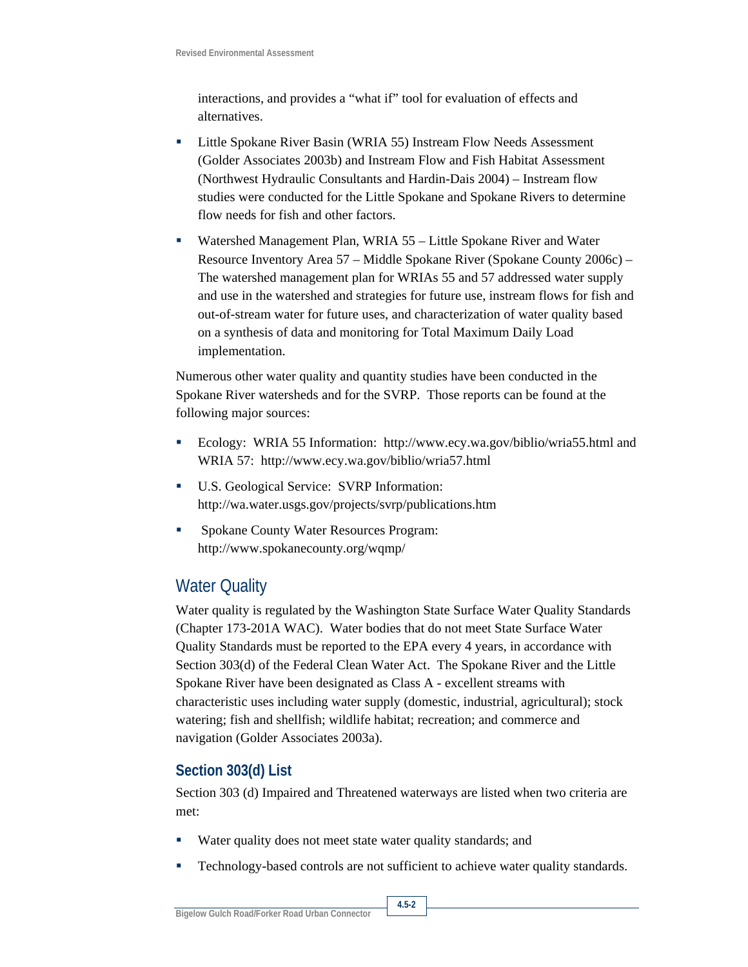interactions, and provides a "what if" tool for evaluation of effects and alternatives.

- **EXECUTE:** Little Spokane River Basin (WRIA 55) Instream Flow Needs Assessment (Golder Associates 2003b) and Instream Flow and Fish Habitat Assessment (Northwest Hydraulic Consultants and Hardin-Dais 2004) – Instream flow studies were conducted for the Little Spokane and Spokane Rivers to determine flow needs for fish and other factors.
- Watershed Management Plan, WRIA 55 Little Spokane River and Water Resource Inventory Area 57 – Middle Spokane River (Spokane County 2006c) – The watershed management plan for WRIAs 55 and 57 addressed water supply and use in the watershed and strategies for future use, instream flows for fish and out-of-stream water for future uses, and characterization of water quality based on a synthesis of data and monitoring for Total Maximum Daily Load implementation.

Numerous other water quality and quantity studies have been conducted in the Spokane River watersheds and for the SVRP. Those reports can be found at the following major sources:

- Ecology: WRIA 55 Information: http://www.ecy.wa.gov/biblio/wria55.html and WRIA 57: http://www.ecy.wa.gov/biblio/wria57.html
- U.S. Geological Service: SVRP Information: http://wa.water.usgs.gov/projects/svrp/publications.htm
- Spokane County Water Resources Program: http://www.spokanecounty.org/wqmp/

# Water Quality

Water quality is regulated by the Washington State Surface Water Quality Standards (Chapter 173-201A WAC). Water bodies that do not meet State Surface Water Quality Standards must be reported to the EPA every 4 years, in accordance with Section 303(d) of the Federal Clean Water Act. The Spokane River and the Little Spokane River have been designated as Class A - excellent streams with characteristic uses including water supply (domestic, industrial, agricultural); stock watering; fish and shellfish; wildlife habitat; recreation; and commerce and navigation (Golder Associates 2003a).

## **Section 303(d) List**

Section 303 (d) Impaired and Threatened waterways are listed when two criteria are met:

- Water quality does not meet state water quality standards; and
- Technology-based controls are not sufficient to achieve water quality standards.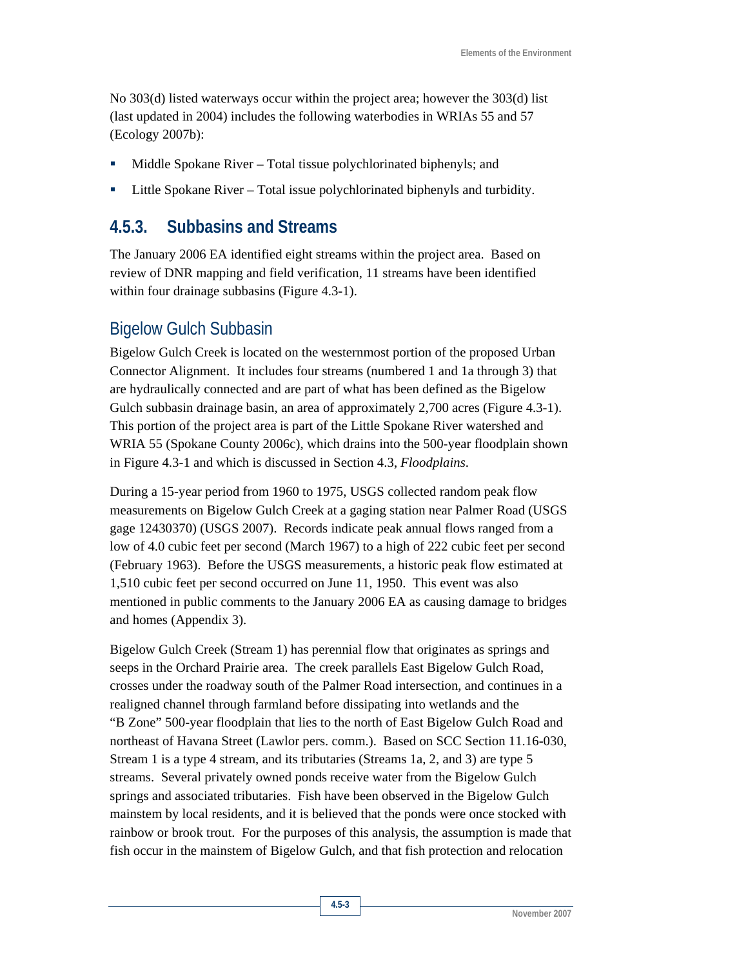No 303(d) listed waterways occur within the project area; however the 303(d) list (last updated in 2004) includes the following waterbodies in WRIAs 55 and 57 (Ecology 2007b):

- Middle Spokane River Total tissue polychlorinated biphenyls; and
- Little Spokane River Total issue polychlorinated biphenyls and turbidity.

## **4.5.3. Subbasins and Streams**

The January 2006 EA identified eight streams within the project area. Based on review of DNR mapping and field verification, 11 streams have been identified within four drainage subbasins (Figure 4.3-1).

## Bigelow Gulch Subbasin

Bigelow Gulch Creek is located on the westernmost portion of the proposed Urban Connector Alignment. It includes four streams (numbered 1 and 1a through 3) that are hydraulically connected and are part of what has been defined as the Bigelow Gulch subbasin drainage basin, an area of approximately 2,700 acres (Figure 4.3-1). This portion of the project area is part of the Little Spokane River watershed and WRIA 55 (Spokane County 2006c), which drains into the 500-year floodplain shown in Figure 4.3-1 and which is discussed in Section 4.3, *Floodplains*.

During a 15-year period from 1960 to 1975, USGS collected random peak flow measurements on Bigelow Gulch Creek at a gaging station near Palmer Road (USGS gage 12430370) (USGS 2007). Records indicate peak annual flows ranged from a low of 4.0 cubic feet per second (March 1967) to a high of 222 cubic feet per second (February 1963). Before the USGS measurements, a historic peak flow estimated at 1,510 cubic feet per second occurred on June 11, 1950. This event was also mentioned in public comments to the January 2006 EA as causing damage to bridges and homes (Appendix 3).

Bigelow Gulch Creek (Stream 1) has perennial flow that originates as springs and seeps in the Orchard Prairie area. The creek parallels East Bigelow Gulch Road, crosses under the roadway south of the Palmer Road intersection, and continues in a realigned channel through farmland before dissipating into wetlands and the "B Zone" 500-year floodplain that lies to the north of East Bigelow Gulch Road and northeast of Havana Street (Lawlor pers. comm.). Based on SCC Section 11.16-030, Stream 1 is a type 4 stream, and its tributaries (Streams 1a, 2, and 3) are type 5 streams. Several privately owned ponds receive water from the Bigelow Gulch springs and associated tributaries. Fish have been observed in the Bigelow Gulch mainstem by local residents, and it is believed that the ponds were once stocked with rainbow or brook trout. For the purposes of this analysis, the assumption is made that fish occur in the mainstem of Bigelow Gulch, and that fish protection and relocation

**November 2007**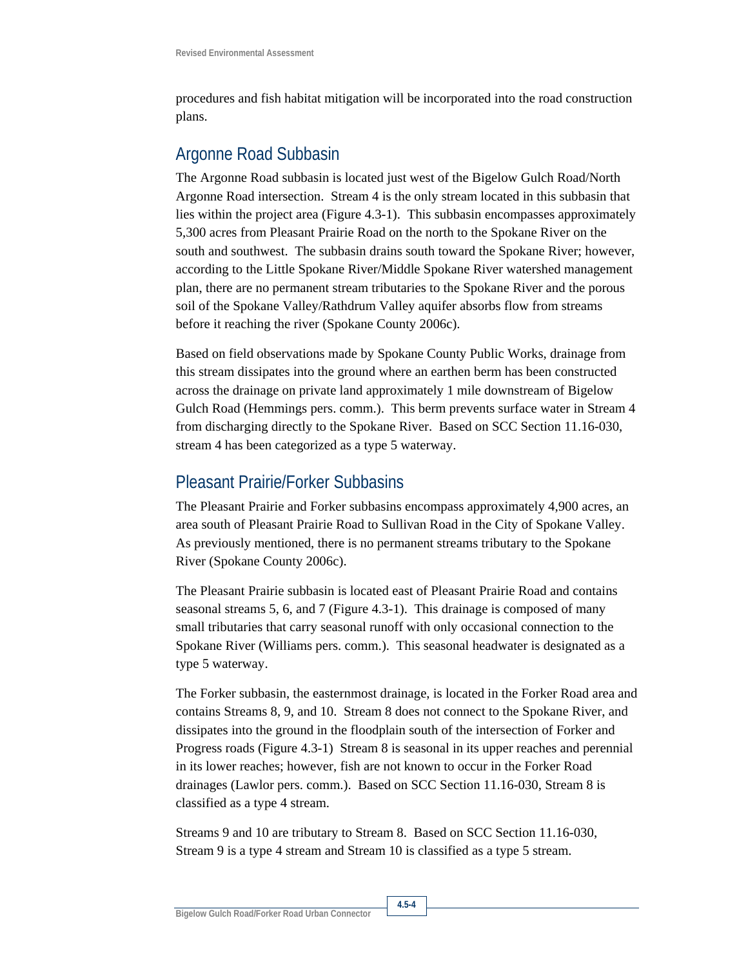procedures and fish habitat mitigation will be incorporated into the road construction plans.

## Argonne Road Subbasin

The Argonne Road subbasin is located just west of the Bigelow Gulch Road/North Argonne Road intersection. Stream 4 is the only stream located in this subbasin that lies within the project area (Figure 4.3-1). This subbasin encompasses approximately 5,300 acres from Pleasant Prairie Road on the north to the Spokane River on the south and southwest. The subbasin drains south toward the Spokane River; however, according to the Little Spokane River/Middle Spokane River watershed management plan, there are no permanent stream tributaries to the Spokane River and the porous soil of the Spokane Valley/Rathdrum Valley aquifer absorbs flow from streams before it reaching the river (Spokane County 2006c).

Based on field observations made by Spokane County Public Works, drainage from this stream dissipates into the ground where an earthen berm has been constructed across the drainage on private land approximately 1 mile downstream of Bigelow Gulch Road (Hemmings pers. comm.). This berm prevents surface water in Stream 4 from discharging directly to the Spokane River. Based on SCC Section 11.16-030, stream 4 has been categorized as a type 5 waterway.

## Pleasant Prairie/Forker Subbasins

The Pleasant Prairie and Forker subbasins encompass approximately 4,900 acres, an area south of Pleasant Prairie Road to Sullivan Road in the City of Spokane Valley. As previously mentioned, there is no permanent streams tributary to the Spokane River (Spokane County 2006c).

The Pleasant Prairie subbasin is located east of Pleasant Prairie Road and contains seasonal streams 5, 6, and 7 (Figure 4.3-1). This drainage is composed of many small tributaries that carry seasonal runoff with only occasional connection to the Spokane River (Williams pers. comm.). This seasonal headwater is designated as a type 5 waterway.

The Forker subbasin, the easternmost drainage, is located in the Forker Road area and contains Streams 8, 9, and 10. Stream 8 does not connect to the Spokane River, and dissipates into the ground in the floodplain south of the intersection of Forker and Progress roads (Figure 4.3-1) Stream 8 is seasonal in its upper reaches and perennial in its lower reaches; however, fish are not known to occur in the Forker Road drainages (Lawlor pers. comm.). Based on SCC Section 11.16-030, Stream 8 is classified as a type 4 stream.

Streams 9 and 10 are tributary to Stream 8. Based on SCC Section 11.16-030, Stream 9 is a type 4 stream and Stream 10 is classified as a type 5 stream.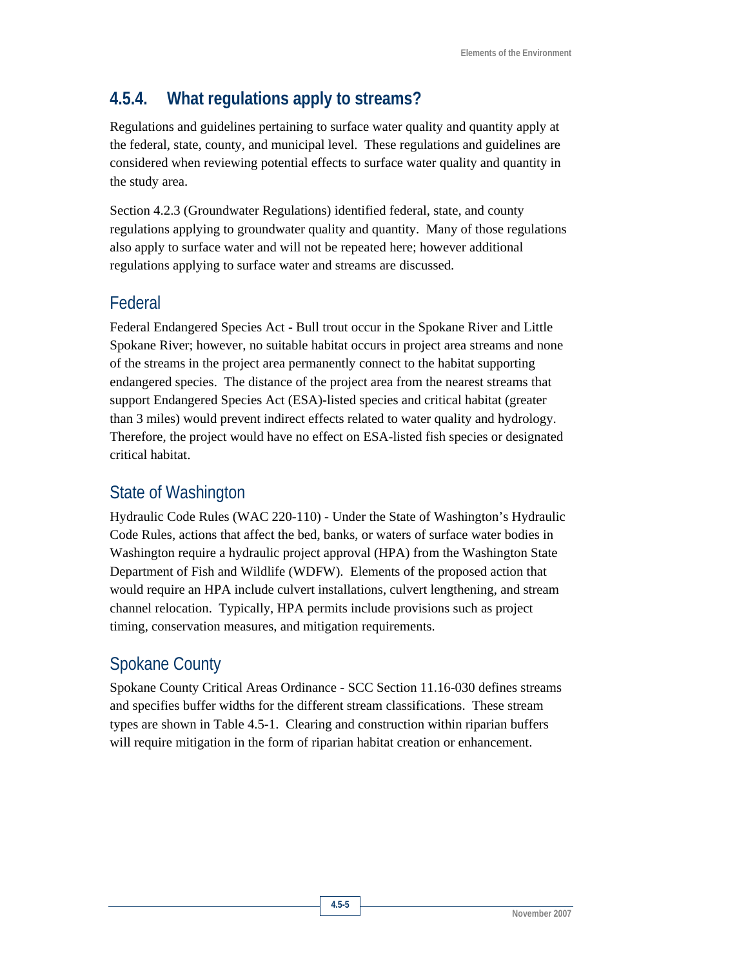# **4.5.4. What regulations apply to streams?**

Regulations and guidelines pertaining to surface water quality and quantity apply at the federal, state, county, and municipal level. These regulations and guidelines are considered when reviewing potential effects to surface water quality and quantity in the study area.

Section 4.2.3 (Groundwater Regulations) identified federal, state, and county regulations applying to groundwater quality and quantity. Many of those regulations also apply to surface water and will not be repeated here; however additional regulations applying to surface water and streams are discussed.

# Federal

Federal Endangered Species Act - Bull trout occur in the Spokane River and Little Spokane River; however, no suitable habitat occurs in project area streams and none of the streams in the project area permanently connect to the habitat supporting endangered species. The distance of the project area from the nearest streams that support Endangered Species Act (ESA)-listed species and critical habitat (greater than 3 miles) would prevent indirect effects related to water quality and hydrology. Therefore, the project would have no effect on ESA-listed fish species or designated critical habitat.

# State of Washington

Hydraulic Code Rules (WAC 220-110) - Under the State of Washington's Hydraulic Code Rules, actions that affect the bed, banks, or waters of surface water bodies in Washington require a hydraulic project approval (HPA) from the Washington State Department of Fish and Wildlife (WDFW). Elements of the proposed action that would require an HPA include culvert installations, culvert lengthening, and stream channel relocation. Typically, HPA permits include provisions such as project timing, conservation measures, and mitigation requirements.

# Spokane County

Spokane County Critical Areas Ordinance - SCC Section 11.16-030 defines streams and specifies buffer widths for the different stream classifications. These stream types are shown in Table 4.5-1. Clearing and construction within riparian buffers will require mitigation in the form of riparian habitat creation or enhancement.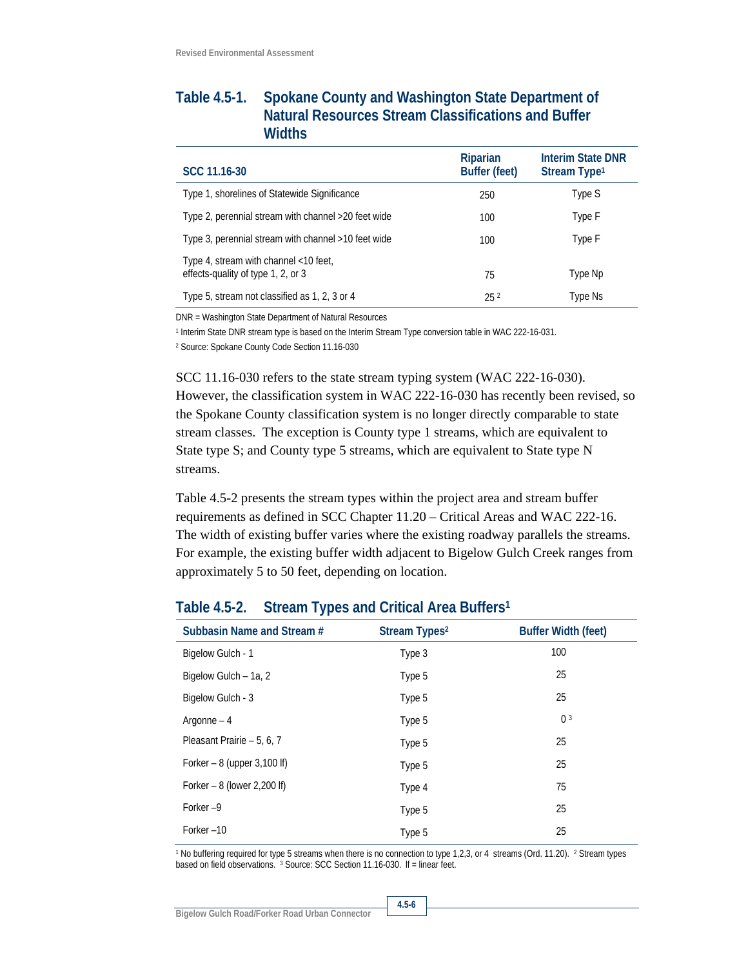### **Table 4.5-1. Spokane County and Washington State Department of Natural Resources Stream Classifications and Buffer Widths**

| SCC 11.16-30                                                                | Riparian<br><b>Buffer (feet)</b> | <b>Interim State DNR</b><br>Stream Type <sup>1</sup> |
|-----------------------------------------------------------------------------|----------------------------------|------------------------------------------------------|
| Type 1, shorelines of Statewide Significance                                | 250                              | Type S                                               |
| Type 2, perennial stream with channel >20 feet wide                         | 100                              | Type F                                               |
| Type 3, perennial stream with channel >10 feet wide                         | 100                              | Type F                                               |
| Type 4, stream with channel <10 feet,<br>effects-quality of type 1, 2, or 3 | 75                               | Type Np                                              |
| Type 5, stream not classified as 1, 2, 3 or 4                               | 25 <sup>2</sup>                  | Type Ns                                              |

DNR = Washington State Department of Natural Resources

1 Interim State DNR stream type is based on the Interim Stream Type conversion table in WAC 222-16-031.

2 Source: Spokane County Code Section 11.16-030

SCC 11.16-030 refers to the state stream typing system (WAC 222-16-030). However, the classification system in WAC 222-16-030 has recently been revised, so the Spokane County classification system is no longer directly comparable to state stream classes. The exception is County type 1 streams, which are equivalent to State type S; and County type 5 streams, which are equivalent to State type N streams.

Table 4.5-2 presents the stream types within the project area and stream buffer requirements as defined in SCC Chapter 11.20 – Critical Areas and WAC 222-16. The width of existing buffer varies where the existing roadway parallels the streams. For example, the existing buffer width adjacent to Bigelow Gulch Creek ranges from approximately 5 to 50 feet, depending on location.

# Subbasin Name and Stream # Stream Types<sup>2</sup> Buffer Width (feet) Bigelow Gulch - 1 1 and 100 Bigelow Gulch – 1a, 2 and 25 and 25 and 25 and 25 and 25 and 25 and 25 and 25 and 25 and 25 and 25 and 25 and 25 and 25 and 25 and 25 and 25 and 25 and 25 and 25 and 25 and 25 and 26 and 27 and 27 and 27 and 27 and 27 and Bigelow Gulch - 3 25  $Argonne - 4$  0 3 Pleasant Prairie – 5, 6, 7 Type 5 7 25 Forker – 8 (upper 3,100 lf) Type 5 79 Type 5 Forker – 8 (lower 2,200 lf) Type 4 75 Forker –9 25 Forker –10 25

#### **Table 4.5-2. Stream Types and Critical Area Buffers1**

<sup>1</sup> No buffering required for type 5 streams when there is no connection to type 1,2,3, or 4 streams (Ord. 11.20). <sup>2</sup> Stream types based on field observations. <sup>3</sup> Source: SCC Section 11.16-030. If = linear feet.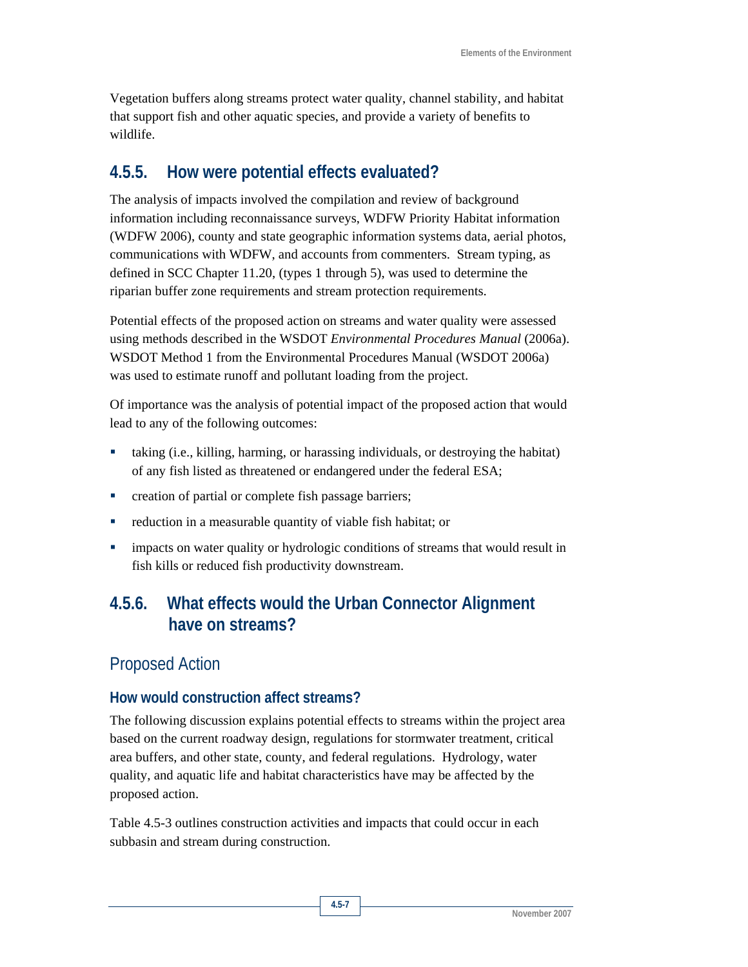Vegetation buffers along streams protect water quality, channel stability, and habitat that support fish and other aquatic species, and provide a variety of benefits to wildlife.

# **4.5.5. How were potential effects evaluated?**

The analysis of impacts involved the compilation and review of background information including reconnaissance surveys, WDFW Priority Habitat information (WDFW 2006), county and state geographic information systems data, aerial photos, communications with WDFW, and accounts from commenters. Stream typing, as defined in SCC Chapter 11.20, (types 1 through 5), was used to determine the riparian buffer zone requirements and stream protection requirements.

Potential effects of the proposed action on streams and water quality were assessed using methods described in the WSDOT *Environmental Procedures Manual* (2006a). WSDOT Method 1 from the Environmental Procedures Manual (WSDOT 2006a) was used to estimate runoff and pollutant loading from the project.

Of importance was the analysis of potential impact of the proposed action that would lead to any of the following outcomes:

- taking (i.e., killing, harming, or harassing individuals, or destroying the habitat) of any fish listed as threatened or endangered under the federal ESA;
- **•** creation of partial or complete fish passage barriers;
- reduction in a measurable quantity of viable fish habitat; or
- impacts on water quality or hydrologic conditions of streams that would result in fish kills or reduced fish productivity downstream.

# **4.5.6. What effects would the Urban Connector Alignment have on streams?**

## Proposed Action

#### **How would construction affect streams?**

The following discussion explains potential effects to streams within the project area based on the current roadway design, regulations for stormwater treatment, critical area buffers, and other state, county, and federal regulations. Hydrology, water quality, and aquatic life and habitat characteristics have may be affected by the proposed action.

Table 4.5-3 outlines construction activities and impacts that could occur in each subbasin and stream during construction.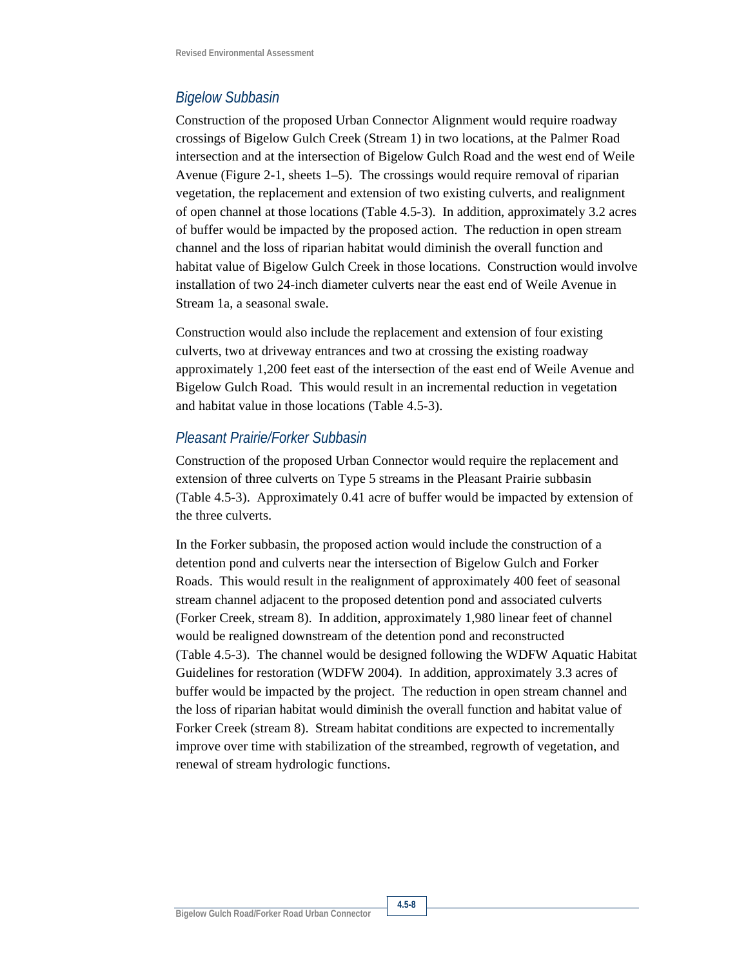### *Bigelow Subbasin*

Construction of the proposed Urban Connector Alignment would require roadway crossings of Bigelow Gulch Creek (Stream 1) in two locations, at the Palmer Road intersection and at the intersection of Bigelow Gulch Road and the west end of Weile Avenue (Figure 2-1, sheets 1–5). The crossings would require removal of riparian vegetation, the replacement and extension of two existing culverts, and realignment of open channel at those locations (Table 4.5-3). In addition, approximately 3.2 acres of buffer would be impacted by the proposed action. The reduction in open stream channel and the loss of riparian habitat would diminish the overall function and habitat value of Bigelow Gulch Creek in those locations. Construction would involve installation of two 24-inch diameter culverts near the east end of Weile Avenue in Stream 1a, a seasonal swale.

Construction would also include the replacement and extension of four existing culverts, two at driveway entrances and two at crossing the existing roadway approximately 1,200 feet east of the intersection of the east end of Weile Avenue and Bigelow Gulch Road. This would result in an incremental reduction in vegetation and habitat value in those locations (Table 4.5-3).

### *Pleasant Prairie/Forker Subbasin*

Construction of the proposed Urban Connector would require the replacement and extension of three culverts on Type 5 streams in the Pleasant Prairie subbasin (Table 4.5-3). Approximately 0.41 acre of buffer would be impacted by extension of the three culverts.

In the Forker subbasin, the proposed action would include the construction of a detention pond and culverts near the intersection of Bigelow Gulch and Forker Roads. This would result in the realignment of approximately 400 feet of seasonal stream channel adjacent to the proposed detention pond and associated culverts (Forker Creek, stream 8). In addition, approximately 1,980 linear feet of channel would be realigned downstream of the detention pond and reconstructed (Table 4.5-3). The channel would be designed following the WDFW Aquatic Habitat Guidelines for restoration (WDFW 2004). In addition, approximately 3.3 acres of buffer would be impacted by the project. The reduction in open stream channel and the loss of riparian habitat would diminish the overall function and habitat value of Forker Creek (stream 8). Stream habitat conditions are expected to incrementally improve over time with stabilization of the streambed, regrowth of vegetation, and renewal of stream hydrologic functions.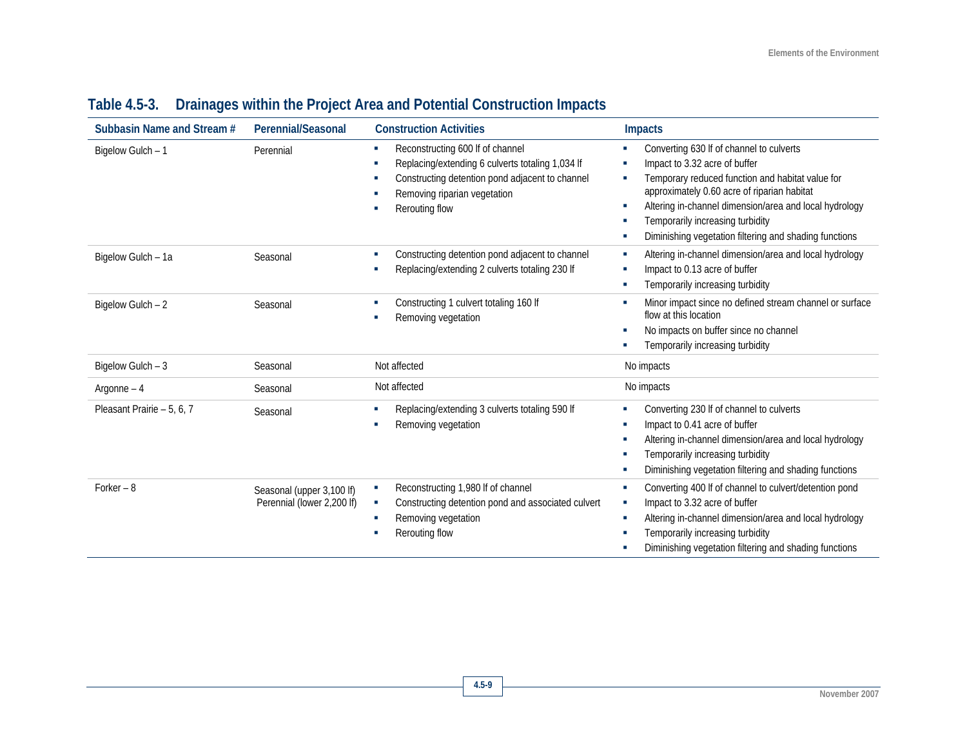| Subbasin Name and Stream # | Perennial/Seasonal                                      | <b>Construction Activities</b>                                                                                                                                                                                | <b>Impacts</b>                                                                                                                                                                                                                                                                                                                                                      |
|----------------------------|---------------------------------------------------------|---------------------------------------------------------------------------------------------------------------------------------------------------------------------------------------------------------------|---------------------------------------------------------------------------------------------------------------------------------------------------------------------------------------------------------------------------------------------------------------------------------------------------------------------------------------------------------------------|
| Bigelow Gulch - 1          | Perennial                                               | Reconstructing 600 If of channel<br><b>COL</b><br>Replacing/extending 6 culverts totaling 1,034 lf<br>D.<br>Constructing detention pond adjacent to channel<br>Removing riparian vegetation<br>Rerouting flow | Converting 630 If of channel to culverts<br>×<br>Impact to 3.32 acre of buffer<br>×<br>Temporary reduced function and habitat value for<br>×.<br>approximately 0.60 acre of riparian habitat<br>Altering in-channel dimension/area and local hydrology<br>×<br>Temporarily increasing turbidity<br>٠<br>Diminishing vegetation filtering and shading functions<br>× |
| Bigelow Gulch - 1a         | Seasonal                                                | Constructing detention pond adjacent to channel<br>Replacing/extending 2 culverts totaling 230 If                                                                                                             | Altering in-channel dimension/area and local hydrology<br>×<br>Impact to 0.13 acre of buffer<br>F.<br>Temporarily increasing turbidity<br>×,                                                                                                                                                                                                                        |
| Bigelow Gulch - 2          | Seasonal                                                | Constructing 1 culvert totaling 160 lf<br>Removing vegetation                                                                                                                                                 | Minor impact since no defined stream channel or surface<br>T,<br>flow at this location<br>No impacts on buffer since no channel<br>×<br>Temporarily increasing turbidity                                                                                                                                                                                            |
| Bigelow Gulch - 3          | Seasonal                                                | Not affected                                                                                                                                                                                                  | No impacts                                                                                                                                                                                                                                                                                                                                                          |
| Argonne $-4$               | Seasonal                                                | Not affected                                                                                                                                                                                                  | No impacts                                                                                                                                                                                                                                                                                                                                                          |
| Pleasant Prairie - 5, 6, 7 | Seasonal                                                | Replacing/extending 3 culverts totaling 590 lf<br>Removing vegetation<br>×.                                                                                                                                   | Converting 230 If of channel to culverts<br>F.<br>Impact to 0.41 acre of buffer<br>T,<br>Altering in-channel dimension/area and local hydrology<br>۰<br>Temporarily increasing turbidity<br>T,<br>Diminishing vegetation filtering and shading functions<br>×.                                                                                                      |
| Forker $-8$                | Seasonal (upper 3,100 lf)<br>Perennial (lower 2,200 lf) | Reconstructing 1,980 If of channel<br>Constructing detention pond and associated culvert<br>×<br>Removing vegetation<br><b>CO</b><br>Rerouting flow                                                           | Converting 400 If of channel to culvert/detention pond<br>×<br>Impact to 3.32 acre of buffer<br>×<br>Altering in-channel dimension/area and local hydrology<br>×<br>Temporarily increasing turbidity<br>n<br>Diminishing vegetation filtering and shading functions<br>×.                                                                                           |

# **Table 4.5-3. Drainages within the Project Area and Potential Construction Impacts**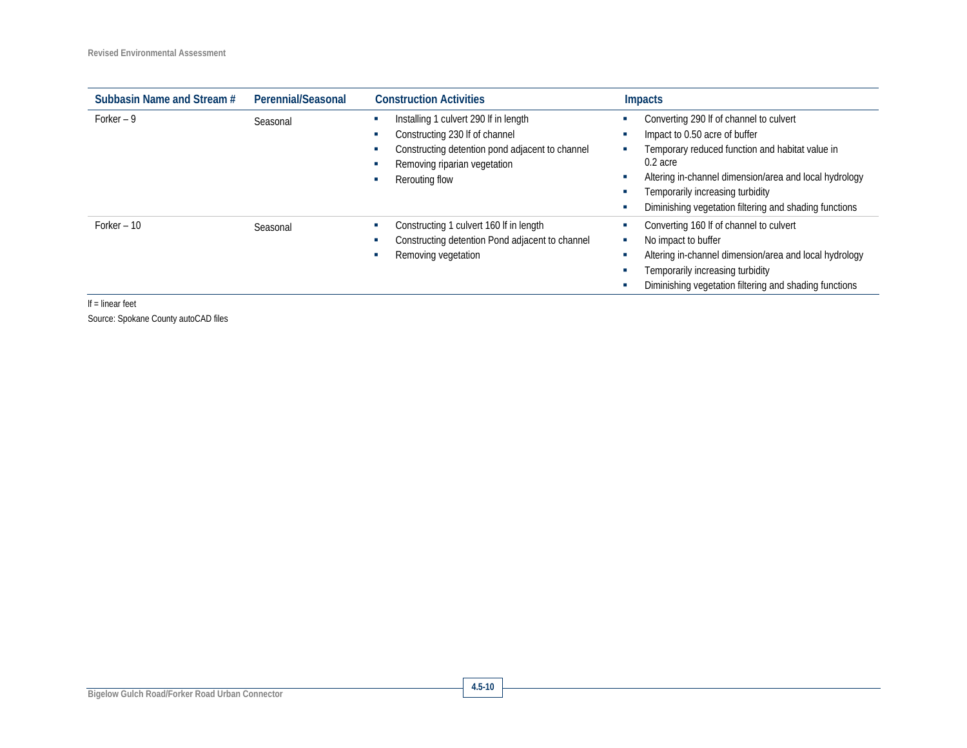| Subbasin Name and Stream # | Perennial/Seasonal | <b>Construction Activities</b>                                                                                                                                               | <b>Impacts</b>                                                                                                                                                                                                                                                                                         |
|----------------------------|--------------------|------------------------------------------------------------------------------------------------------------------------------------------------------------------------------|--------------------------------------------------------------------------------------------------------------------------------------------------------------------------------------------------------------------------------------------------------------------------------------------------------|
| Forker $-9$                | Seasonal           | Installing 1 culvert 290 If in length<br>Constructing 230 If of channel<br>Constructing detention pond adjacent to channel<br>Removing riparian vegetation<br>Rerouting flow | Converting 290 If of channel to culvert<br>Impact to 0.50 acre of buffer<br>Temporary reduced function and habitat value in<br>۰<br>$0.2$ acre<br>Altering in-channel dimension/area and local hydrology<br>Temporarily increasing turbidity<br>Diminishing vegetation filtering and shading functions |
| Forker $-10$               | Seasonal           | Constructing 1 culvert 160 If in length<br>Constructing detention Pond adjacent to channel<br>Removing vegetation                                                            | Converting 160 If of channel to culvert<br>No impact to buffer<br>×<br>Altering in-channel dimension/area and local hydrology<br>с<br>Temporarily increasing turbidity<br>Diminishing vegetation filtering and shading functions<br>с                                                                  |

lf = linear feet

Source: Spokane County autoCAD files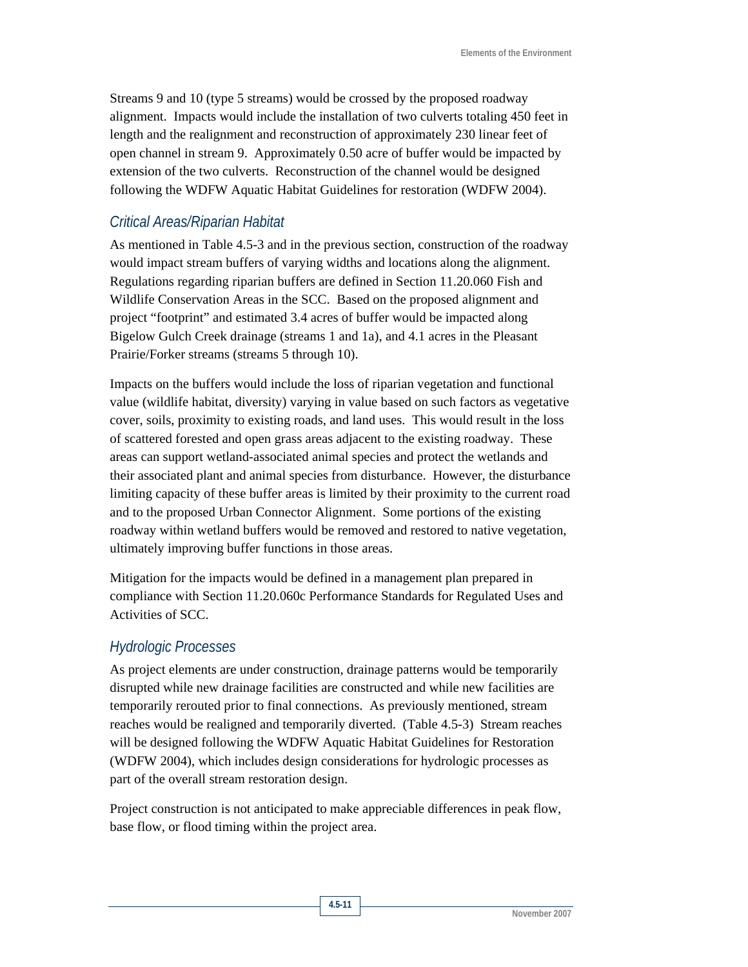Streams 9 and 10 (type 5 streams) would be crossed by the proposed roadway alignment. Impacts would include the installation of two culverts totaling 450 feet in length and the realignment and reconstruction of approximately 230 linear feet of open channel in stream 9. Approximately 0.50 acre of buffer would be impacted by extension of the two culverts. Reconstruction of the channel would be designed following the WDFW Aquatic Habitat Guidelines for restoration (WDFW 2004).

### *Critical Areas/Riparian Habitat*

As mentioned in Table 4.5-3 and in the previous section, construction of the roadway would impact stream buffers of varying widths and locations along the alignment. Regulations regarding riparian buffers are defined in Section 11.20.060 Fish and Wildlife Conservation Areas in the SCC. Based on the proposed alignment and project "footprint" and estimated 3.4 acres of buffer would be impacted along Bigelow Gulch Creek drainage (streams 1 and 1a), and 4.1 acres in the Pleasant Prairie/Forker streams (streams 5 through 10).

Impacts on the buffers would include the loss of riparian vegetation and functional value (wildlife habitat, diversity) varying in value based on such factors as vegetative cover, soils, proximity to existing roads, and land uses. This would result in the loss of scattered forested and open grass areas adjacent to the existing roadway. These areas can support wetland-associated animal species and protect the wetlands and their associated plant and animal species from disturbance. However, the disturbance limiting capacity of these buffer areas is limited by their proximity to the current road and to the proposed Urban Connector Alignment. Some portions of the existing roadway within wetland buffers would be removed and restored to native vegetation, ultimately improving buffer functions in those areas.

Mitigation for the impacts would be defined in a management plan prepared in compliance with Section 11.20.060c Performance Standards for Regulated Uses and Activities of SCC.

#### *Hydrologic Processes*

As project elements are under construction, drainage patterns would be temporarily disrupted while new drainage facilities are constructed and while new facilities are temporarily rerouted prior to final connections. As previously mentioned, stream reaches would be realigned and temporarily diverted. (Table 4.5-3) Stream reaches will be designed following the WDFW Aquatic Habitat Guidelines for Restoration (WDFW 2004), which includes design considerations for hydrologic processes as part of the overall stream restoration design.

Project construction is not anticipated to make appreciable differences in peak flow, base flow, or flood timing within the project area.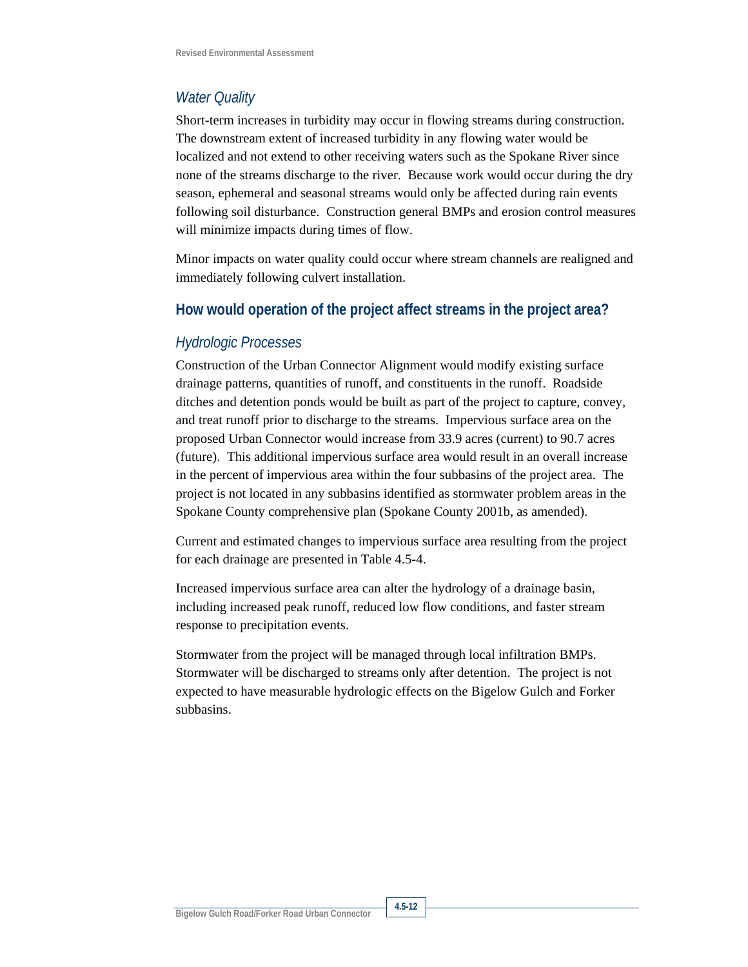## *Water Quality*

Short-term increases in turbidity may occur in flowing streams during construction. The downstream extent of increased turbidity in any flowing water would be localized and not extend to other receiving waters such as the Spokane River since none of the streams discharge to the river. Because work would occur during the dry season, ephemeral and seasonal streams would only be affected during rain events following soil disturbance. Construction general BMPs and erosion control measures will minimize impacts during times of flow.

Minor impacts on water quality could occur where stream channels are realigned and immediately following culvert installation.

#### **How would operation of the project affect streams in the project area?**

#### *Hydrologic Processes*

Construction of the Urban Connector Alignment would modify existing surface drainage patterns, quantities of runoff, and constituents in the runoff. Roadside ditches and detention ponds would be built as part of the project to capture, convey, and treat runoff prior to discharge to the streams. Impervious surface area on the proposed Urban Connector would increase from 33.9 acres (current) to 90.7 acres (future). This additional impervious surface area would result in an overall increase in the percent of impervious area within the four subbasins of the project area. The project is not located in any subbasins identified as stormwater problem areas in the Spokane County comprehensive plan (Spokane County 2001b, as amended).

Current and estimated changes to impervious surface area resulting from the project for each drainage are presented in Table 4.5-4.

Increased impervious surface area can alter the hydrology of a drainage basin, including increased peak runoff, reduced low flow conditions, and faster stream response to precipitation events.

Stormwater from the project will be managed through local infiltration BMPs. Stormwater will be discharged to streams only after detention. The project is not expected to have measurable hydrologic effects on the Bigelow Gulch and Forker subbasins.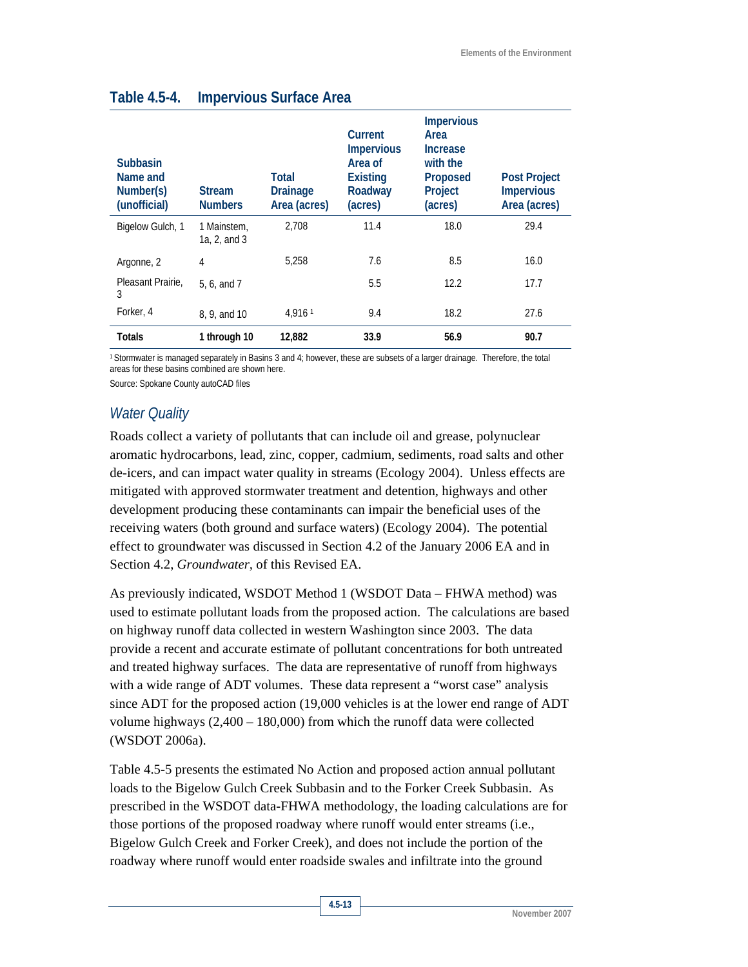| <b>Subbasin</b><br>Name and<br>Number(s)<br>(unofficial) | <b>Stream</b><br><b>Numbers</b> | Total<br><b>Drainage</b><br>Area (acres) | Current<br><b>Impervious</b><br>Area of<br><b>Existing</b><br>Roadway<br>(acres) | <b>Impervious</b><br>Area<br><b>Increase</b><br>with the<br>Proposed<br>Project<br>(acres) | <b>Post Project</b><br><b>Impervious</b><br>Area (acres) |
|----------------------------------------------------------|---------------------------------|------------------------------------------|----------------------------------------------------------------------------------|--------------------------------------------------------------------------------------------|----------------------------------------------------------|
| Bigelow Gulch, 1                                         | 1 Mainstem.<br>1a, 2, and 3     | 2.708                                    | 11.4                                                                             | 18.0                                                                                       | 29.4                                                     |
| Argonne, 2                                               | 4                               | 5.258                                    | 7.6                                                                              | 8.5                                                                                        | 16.0                                                     |
| Pleasant Prairie.<br>3                                   | 5, 6, and 7                     |                                          | 5.5                                                                              | 12.2                                                                                       | 17.7                                                     |
| Forker, 4                                                | 8, 9, and 10                    | 4.9161                                   | 9.4                                                                              | 18.2                                                                                       | 27.6                                                     |
| Totals                                                   | 1 through 10                    | 12.882                                   | 33.9                                                                             | 56.9                                                                                       | 90.7                                                     |

### **Table 4.5-4. Impervious Surface Area**

1 Stormwater is managed separately in Basins 3 and 4; however, these are subsets of a larger drainage. Therefore, the total areas for these basins combined are shown here.

Source: Spokane County autoCAD files

#### *Water Quality*

Roads collect a variety of pollutants that can include oil and grease, polynuclear aromatic hydrocarbons, lead, zinc, copper, cadmium, sediments, road salts and other de-icers, and can impact water quality in streams (Ecology 2004). Unless effects are mitigated with approved stormwater treatment and detention, highways and other development producing these contaminants can impair the beneficial uses of the receiving waters (both ground and surface waters) (Ecology 2004). The potential effect to groundwater was discussed in Section 4.2 of the January 2006 EA and in Section 4.2, *Groundwater,* of this Revised EA.

As previously indicated, WSDOT Method 1 (WSDOT Data – FHWA method) was used to estimate pollutant loads from the proposed action. The calculations are based on highway runoff data collected in western Washington since 2003. The data provide a recent and accurate estimate of pollutant concentrations for both untreated and treated highway surfaces. The data are representative of runoff from highways with a wide range of ADT volumes. These data represent a "worst case" analysis since ADT for the proposed action (19,000 vehicles is at the lower end range of ADT volume highways (2,400 – 180,000) from which the runoff data were collected (WSDOT 2006a).

Table 4.5-5 presents the estimated No Action and proposed action annual pollutant loads to the Bigelow Gulch Creek Subbasin and to the Forker Creek Subbasin. As prescribed in the WSDOT data-FHWA methodology, the loading calculations are for those portions of the proposed roadway where runoff would enter streams (i.e., Bigelow Gulch Creek and Forker Creek), and does not include the portion of the roadway where runoff would enter roadside swales and infiltrate into the ground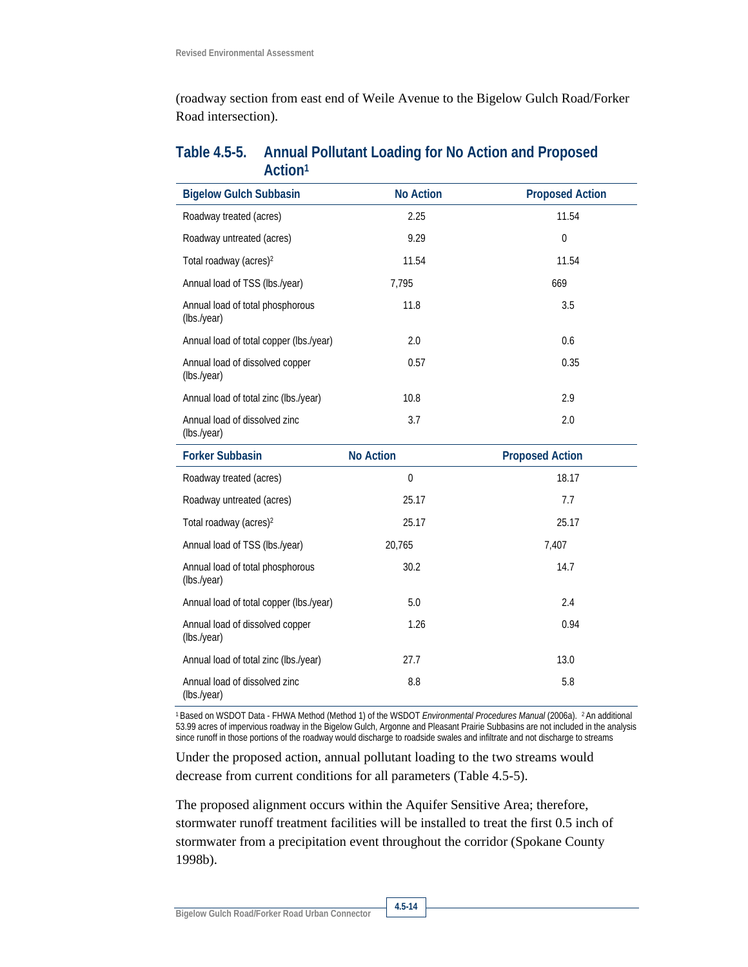(roadway section from east end of Weile Avenue to the Bigelow Gulch Road/Forker Road intersection).

## **Table 4.5-5. Annual Pollutant Loading for No Action and Proposed Action1**

| <b>Bigelow Gulch Subbasin</b>                   | <b>No Action</b> | <b>Proposed Action</b> |
|-------------------------------------------------|------------------|------------------------|
| Roadway treated (acres)                         | 2.25             | 11.54                  |
| Roadway untreated (acres)                       | 9.29             | $\theta$               |
| Total roadway (acres) <sup>2</sup>              | 11.54            | 11.54                  |
| Annual load of TSS (lbs./year)                  | 7,795            | 669                    |
| Annual load of total phosphorous<br>(lbs./year) | 11.8             | 3.5                    |
| Annual load of total copper (lbs./year)         | 2.0              | 0.6                    |
| Annual load of dissolved copper<br>(lbs./year)  | 0.57             | 0.35                   |
| Annual load of total zinc (lbs./year)           | 10.8             | 2.9                    |
| Annual load of dissolved zinc<br>(lbs./year)    | 3.7              | 2.0                    |
| <b>Forker Subbasin</b>                          | <b>No Action</b> | <b>Proposed Action</b> |
| Roadway treated (acres)                         | $\mathbf{0}$     | 18.17                  |
| Roadway untreated (acres)                       | 25.17            | 7.7                    |
| Total roadway (acres) <sup>2</sup>              | 25.17            | 25.17                  |
| Annual load of TSS (lbs./year)                  | 20,765           | 7,407                  |
| Annual load of total phosphorous<br>(lbs./year) | 30.2             | 14.7                   |
| Annual load of total copper (lbs./year)         | 5.0              | 2.4                    |
| Annual load of dissolved copper<br>(Ibs./year)  | 1.26             | 0.94                   |

(lbs./year) 1 Based on WSDOT Data - FHWA Method (Method 1) of the WSDOT *Environmental Procedures Manual* (2006a). 2 An additional 53.99 acres of impervious roadway in the Bigelow Gulch, Argonne and Pleasant Prairie Subbasins are not included in the analysis since runoff in those portions of the roadway would discharge to roadside swales and infiltrate and not discharge to streams

8.8 5.8

Under the proposed action, annual pollutant loading to the two streams would decrease from current conditions for all parameters (Table 4.5-5).

Annual load of total zinc (lbs./year) 27.7 27.7 23.0

The proposed alignment occurs within the Aquifer Sensitive Area; therefore, stormwater runoff treatment facilities will be installed to treat the first 0.5 inch of stormwater from a precipitation event throughout the corridor (Spokane County 1998b).

Annual load of dissolved zinc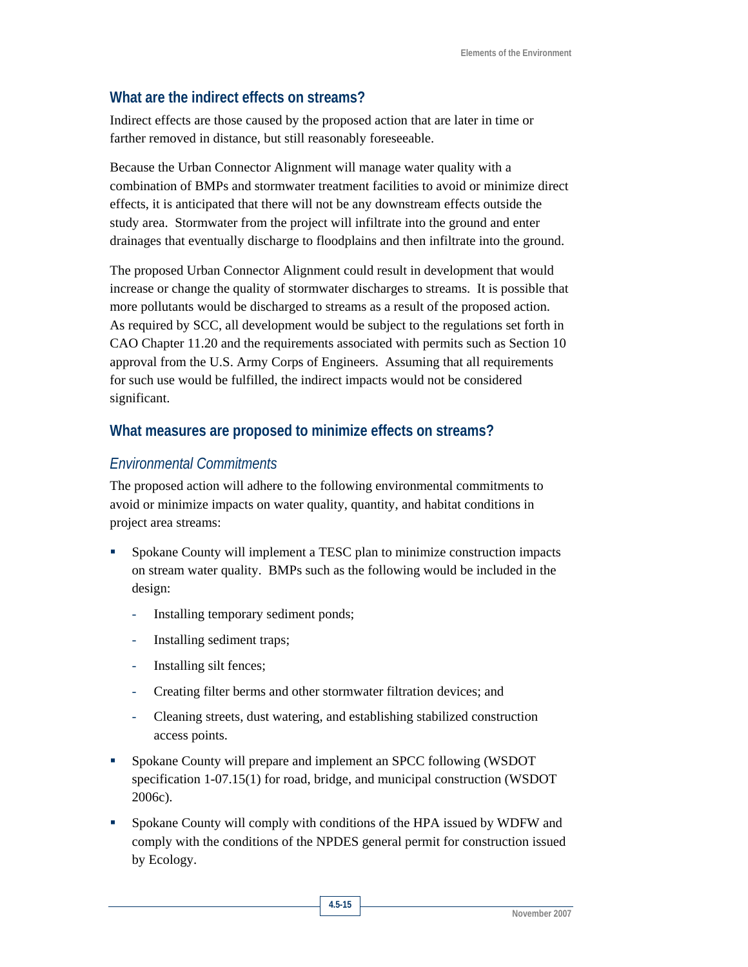## **What are the indirect effects on streams?**

Indirect effects are those caused by the proposed action that are later in time or farther removed in distance, but still reasonably foreseeable.

Because the Urban Connector Alignment will manage water quality with a combination of BMPs and stormwater treatment facilities to avoid or minimize direct effects, it is anticipated that there will not be any downstream effects outside the study area. Stormwater from the project will infiltrate into the ground and enter drainages that eventually discharge to floodplains and then infiltrate into the ground.

The proposed Urban Connector Alignment could result in development that would increase or change the quality of stormwater discharges to streams. It is possible that more pollutants would be discharged to streams as a result of the proposed action. As required by SCC, all development would be subject to the regulations set forth in CAO Chapter 11.20 and the requirements associated with permits such as Section 10 approval from the U.S. Army Corps of Engineers. Assuming that all requirements for such use would be fulfilled, the indirect impacts would not be considered significant.

### **What measures are proposed to minimize effects on streams?**

### *Environmental Commitments*

The proposed action will adhere to the following environmental commitments to avoid or minimize impacts on water quality, quantity, and habitat conditions in project area streams:

- Spokane County will implement a TESC plan to minimize construction impacts on stream water quality. BMPs such as the following would be included in the design:
	- Installing temporary sediment ponds;
	- Installing sediment traps;
	- Installing silt fences;
	- Creating filter berms and other stormwater filtration devices; and
	- Cleaning streets, dust watering, and establishing stabilized construction access points.
- Spokane County will prepare and implement an SPCC following (WSDOT specification 1-07.15(1) for road, bridge, and municipal construction (WSDOT 2006c).
- Spokane County will comply with conditions of the HPA issued by WDFW and comply with the conditions of the NPDES general permit for construction issued by Ecology.